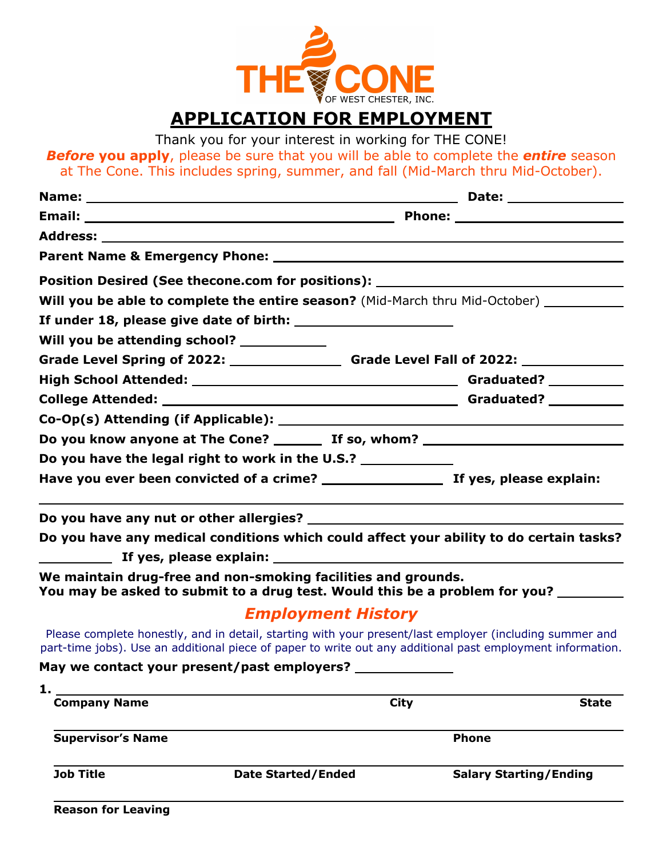

# **APPLICATION FOR EMPLOYMENT**

Thank you for your interest in working for THE CONE!

*Before* **you apply**, please be sure that you will be able to complete the *entire* season at The Cone. This includes spring, summer, and fall (Mid-March thru Mid-October).

| Position Desired (See thecone.com for positions): ______________________________                                                                                                                                      |                           |                               |  |  |  |
|-----------------------------------------------------------------------------------------------------------------------------------------------------------------------------------------------------------------------|---------------------------|-------------------------------|--|--|--|
| Will you be able to complete the entire season? (Mid-March thru Mid-October) __________                                                                                                                               |                           |                               |  |  |  |
|                                                                                                                                                                                                                       |                           |                               |  |  |  |
| Will you be attending school? ___________                                                                                                                                                                             |                           |                               |  |  |  |
| Grade Level Spring of 2022: _________________________Grade Level Fall of 2022: ____________________                                                                                                                   |                           |                               |  |  |  |
|                                                                                                                                                                                                                       |                           |                               |  |  |  |
|                                                                                                                                                                                                                       |                           |                               |  |  |  |
|                                                                                                                                                                                                                       |                           |                               |  |  |  |
| Do you know anyone at The Cone? _________ If so, whom? _________________________                                                                                                                                      |                           |                               |  |  |  |
| Do you have the legal right to work in the U.S.?                                                                                                                                                                      |                           |                               |  |  |  |
|                                                                                                                                                                                                                       |                           |                               |  |  |  |
|                                                                                                                                                                                                                       |                           |                               |  |  |  |
| Do you have any medical conditions which could affect your ability to do certain tasks?                                                                                                                               |                           |                               |  |  |  |
|                                                                                                                                                                                                                       |                           |                               |  |  |  |
| We maintain drug-free and non-smoking facilities and grounds.<br>You may be asked to submit to a drug test. Would this be a problem for you? ________                                                                 |                           |                               |  |  |  |
|                                                                                                                                                                                                                       | <b>Employment History</b> |                               |  |  |  |
| Please complete honestly, and in detail, starting with your present/last employer (including summer and<br>part-time jobs). Use an additional piece of paper to write out any additional past employment information. |                           |                               |  |  |  |
| May we contact your present/past employers?                                                                                                                                                                           |                           |                               |  |  |  |
| 1.                                                                                                                                                                                                                    |                           |                               |  |  |  |
| <b>Company Name</b>                                                                                                                                                                                                   | <b>City</b>               | <b>State</b>                  |  |  |  |
| Supervisor's Name                                                                                                                                                                                                     |                           | <b>Phone</b>                  |  |  |  |
| <b>Job Title</b>                                                                                                                                                                                                      | <b>Date Started/Ended</b> | <b>Salary Starting/Ending</b> |  |  |  |

**Reason for Leaving**